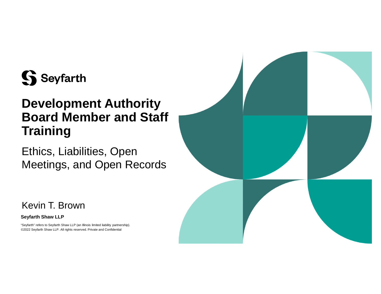

### **Development Authority Board Member and Staff Training**

Ethics, Liabilities, Open Meetings, and Open Records



Kevin T. Brown

### **Seyfarth Shaw LLP**

"Seyfarth" refers to Seyfarth Shaw LLP (an Illinois limited liability partnership). ©2022 Seyfarth Shaw LLP. All rights reserved. Private and Confidential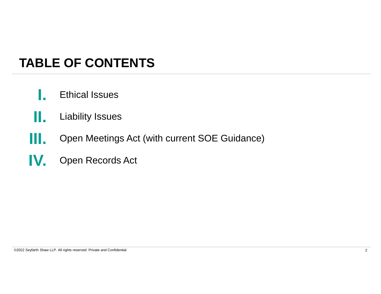### **TABLE OF CONTENTS**

- **I.** Ethical Issues
- **II.** Liability Issues
- **III.** Open Meetings Act (with current SOE Guidance)
- **IV.** Open Records Act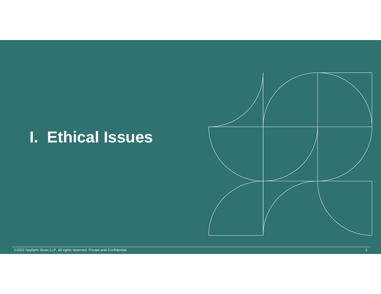# **I. Ethical Issues**



©2022 Seyfarth Shaw LLP. All rights reserved. Private and Confidential 3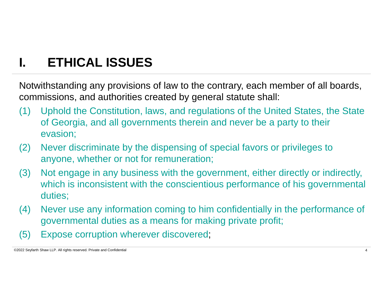# **I. ETHICAL ISSUES**

Notwithstanding any provisions of law to the contrary, each member of all boards, commissions, and authorities created by general statute shall:

- (1) Uphold the Constitution, laws, and regulations of the United States, the State of Georgia, and all governments therein and never be a party to their evasion;
- (2) Never discriminate by the dispensing of special favors or privileges to anyone, whether or not for remuneration;
- (3) Not engage in any business with the government, either directly or indirectly, which is inconsistent with the conscientious performance of his governmental duties;
- (4) Never use any information coming to him confidentially in the performance of governmental duties as a means for making private profit;
- (5) Expose corruption wherever discovered;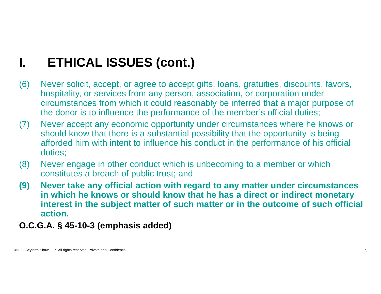- (6) Never solicit, accept, or agree to accept gifts, loans, gratuities, discounts, favors, hospitality, or services from any person, association, or corporation under circumstances from which it could reasonably be inferred that a major purpose of the donor is to influence the performance of the member's official duties;
- (7) Never accept any economic opportunity under circumstances where he knows or should know that there is a substantial possibility that the opportunity is being afforded him with intent to influence his conduct in the performance of his official duties;
- (8) Never engage in other conduct which is unbecoming to a member or which constitutes a breach of public trust; and
- **(9) Never take any official action with regard to any matter under circumstances in which he knows or should know that he has a direct or indirect monetary interest in the subject matter of such matter or in the outcome of such official action.**
- **O.C.G.A. § 45-10-3 (emphasis added)**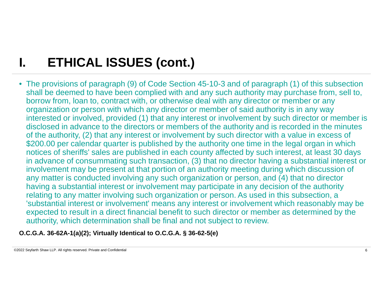• The provisions of paragraph (9) of Code Section 45-10-3 and of paragraph (1) of this subsection shall be deemed to have been complied with and any such authority may purchase from, sell to, borrow from, loan to, contract with, or otherwise deal with any director or member or any organization or person with which any director or member of said authority is in any way interested or involved, provided (1) that any interest or involvement by such director or member is disclosed in advance to the directors or members of the authority and is recorded in the minutes of the authority, (2) that any interest or involvement by such director with a value in excess of \$200.00 per calendar quarter is published by the authority one time in the legal organ in which notices of sheriffs' sales are published in each county affected by such interest, at least 30 days in advance of consummating such transaction, (3) that no director having a substantial interest or involvement may be present at that portion of an authority meeting during which discussion of any matter is conducted involving any such organization or person, and (4) that no director having a substantial interest or involvement may participate in any decision of the authority relating to any matter involving such organization or person. As used in this subsection, a 'substantial interest or involvement' means any interest or involvement which reasonably may be expected to result in a direct financial benefit to such director or member as determined by the authority, which determination shall be final and not subject to review.

**O.C.G.A. 36-62A-1(a)(2); Virtually Identical to O.C.G.A. § 36-62-5(e)**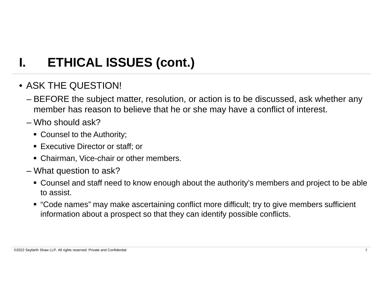### • ASK THE QUESTION!

- BEFORE the subject matter, resolution, or action is to be discussed, ask whether any member has reason to believe that he or she may have a conflict of interest.
- Who should ask?
	- Counsel to the Authority;
	- Executive Director or staff; or
	- Chairman, Vice-chair or other members.
- What question to ask?
	- Counsel and staff need to know enough about the authority's members and project to be able to assist.
	- "Code names" may make ascertaining conflict more difficult; try to give members sufficient information about a prospect so that they can identify possible conflicts.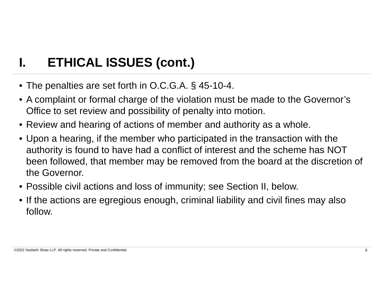- The penalties are set forth in O.C.G.A. § 45-10-4.
- A complaint or formal charge of the violation must be made to the Governor's Office to set review and possibility of penalty into motion.
- Review and hearing of actions of member and authority as a whole.
- Upon a hearing, if the member who participated in the transaction with the authority is found to have had a conflict of interest and the scheme has NOT been followed, that member may be removed from the board at the discretion of the Governor.
- Possible civil actions and loss of immunity; see Section II, below.
- If the actions are egregious enough, criminal liability and civil fines may also follow.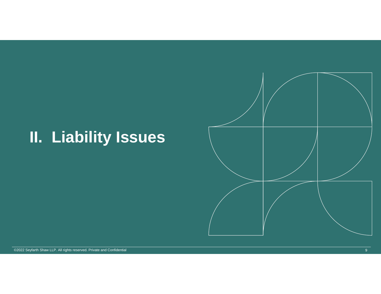# **II. Liability Issues**



©2022 Seyfarth Shaw LLP. All rights reserved. Private and Confidential 9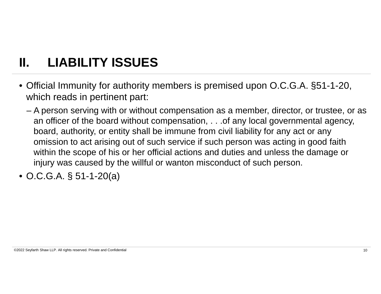# **II. LIABILITY ISSUES**

- Official Immunity for authority members is premised upon O.C.G.A. §51-1-20, which reads in pertinent part:
	- A person serving with or without compensation as a member, director, or trustee, or as an officer of the board without compensation, . . . of any local governmental agency, board, authority, or entity shall be immune from civil liability for any act or any omission to act arising out of such service if such person was acting in good faith within the scope of his or her official actions and duties and unless the damage or injury was caused by the willful or wanton misconduct of such person.
- O.C.G.A. § 51-1-20(a)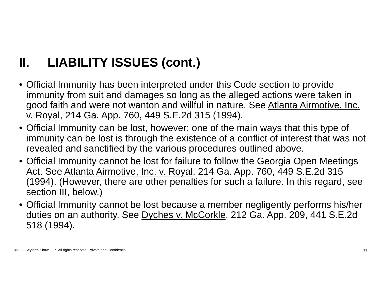# **II. LIABILITY ISSUES (cont.)**

- Official Immunity has been interpreted under this Code section to provide immunity from suit and damages so long as the alleged actions were taken in good faith and were not wanton and willful in nature. See Atlanta Airmotive, Inc. v. Royal, 214 Ga. App. 760, 449 S.E.2d 315 (1994).
- Official Immunity can be lost, however; one of the main ways that this type of immunity can be lost is through the existence of a conflict of interest that was not revealed and sanctified by the various procedures outlined above.
- Official Immunity cannot be lost for failure to follow the Georgia Open Meetings Act. See Atlanta Airmotive, Inc. v. Royal, 214 Ga. App. 760, 449 S.E.2d 315 (1994). (However, there are other penalties for such a failure. In this regard, see section III, below.)
- Official Immunity cannot be lost because a member negligently performs his/her duties on an authority. See Dyches v. McCorkle, 212 Ga. App. 209, 441 S.E.2d 518 (1994).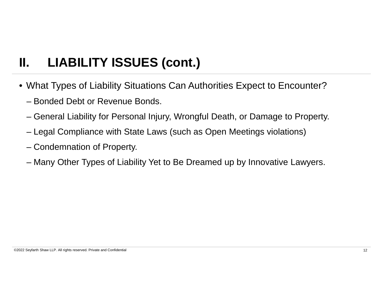# **II. LIABILITY ISSUES (cont.)**

- What Types of Liability Situations Can Authorities Expect to Encounter?
	- Bonded Debt or Revenue Bonds.
	- General Liability for Personal Injury, Wrongful Death, or Damage to Property.
	- Legal Compliance with State Laws (such as Open Meetings violations)
	- Condemnation of Property.
	- Many Other Types of Liability Yet to Be Dreamed up by Innovative Lawyers.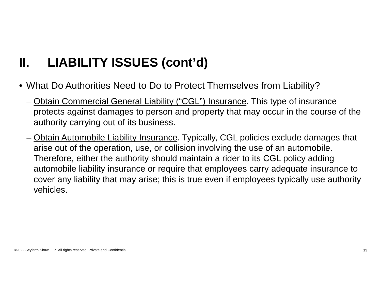# **II. LIABILITY ISSUES (cont'd)**

- What Do Authorities Need to Do to Protect Themselves from Liability?
	- Obtain Commercial General Liability ("CGL") Insurance. This type of insurance protects against damages to person and property that may occur in the course of the authority carrying out of its business.
	- Obtain Automobile Liability Insurance. Typically, CGL policies exclude damages that arise out of the operation, use, or collision involving the use of an automobile. Therefore, either the authority should maintain a rider to its CGL policy adding automobile liability insurance or require that employees carry adequate insurance to cover any liability that may arise; this is true even if employees typically use authority vehicles.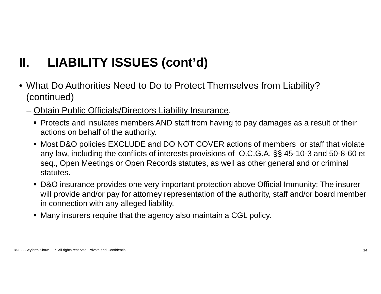# **II. LIABILITY ISSUES (cont'd)**

- What Do Authorities Need to Do to Protect Themselves from Liability? (continued)
	- Obtain Public Officials/Directors Liability Insurance.
		- Protects and insulates members AND staff from having to pay damages as a result of their actions on behalf of the authority.
		- Most D&O policies EXCLUDE and DO NOT COVER actions of members or staff that violate any law, including the conflicts of interests provisions of O.C.G.A. §§ 45-10-3 and 50-8-60 et seq., Open Meetings or Open Records statutes, as well as other general and or criminal statutes.
		- D&O insurance provides one very important protection above Official Immunity: The insurer will provide and/or pay for attorney representation of the authority, staff and/or board member in connection with any alleged liability.
		- Many insurers require that the agency also maintain a CGL policy.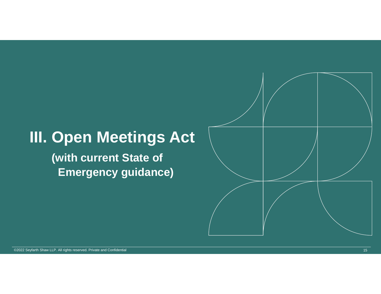# **III. Open Meetings Act**

**(with current State of Emergency guidance)**

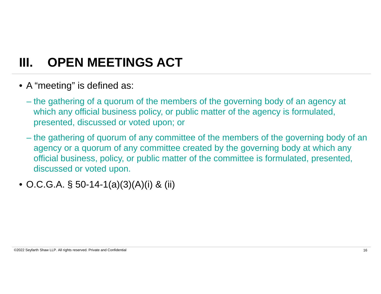### **III. OPEN MEETINGS ACT**

- A "meeting" is defined as:
	- the gathering of a quorum of the members of the governing body of an agency at which any official business policy, or public matter of the agency is formulated, presented, discussed or voted upon; or
	- the gathering of quorum of any committee of the members of the governing body of an agency or a quorum of any committee created by the governing body at which any official business, policy, or public matter of the committee is formulated, presented, discussed or voted upon.
- O.C.G.A. § 50-14-1(a)(3)(A)(i) & (ii)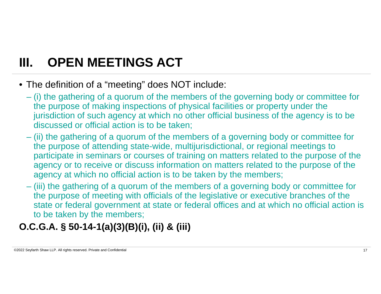# **III. OPEN MEETINGS ACT**

- The definition of a "meeting" does NOT include:
	- (i) the gathering of a quorum of the members of the governing body or committee for the purpose of making inspections of physical facilities or property under the jurisdiction of such agency at which no other official business of the agency is to be discussed or official action is to be taken;
	- (ii) the gathering of a quorum of the members of a governing body or committee for the purpose of attending state-wide, multijurisdictional, or regional meetings to participate in seminars or courses of training on matters related to the purpose of the agency or to receive or discuss information on matters related to the purpose of the agency at which no official action is to be taken by the members;
	- (iii) the gathering of a quorum of the members of a governing body or committee for the purpose of meeting with officials of the legislative or executive branches of the state or federal government at state or federal offices and at which no official action is to be taken by the members;

### **O.C.G.A. § 50-14-1(a)(3)(B)(i), (ii) & (iii)**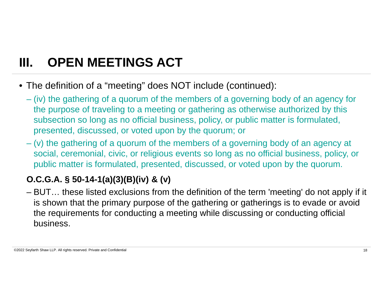# **III. OPEN MEETINGS ACT**

- The definition of a "meeting" does NOT include (continued):
	- (iv) the gathering of a quorum of the members of a governing body of an agency for the purpose of traveling to a meeting or gathering as otherwise authorized by this subsection so long as no official business, policy, or public matter is formulated, presented, discussed, or voted upon by the quorum; or
	- (v) the gathering of a quorum of the members of a governing body of an agency at social, ceremonial, civic, or religious events so long as no official business, policy, or public matter is formulated, presented, discussed, or voted upon by the quorum.

### **O.C.G.A. § 50-14-1(a)(3)(B)(iv) & (v)**

– BUT… these listed exclusions from the definition of the term 'meeting' do not apply if it is shown that the primary purpose of the gathering or gatherings is to evade or avoid the requirements for conducting a meeting while discussing or conducting official business.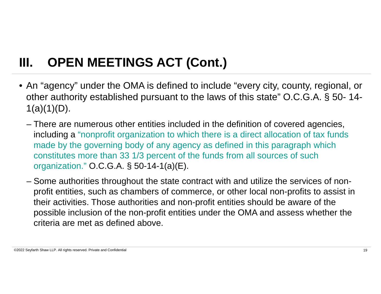- An "agency" under the OMA is defined to include "every city, county, regional, or other authority established pursuant to the laws of this state" O.C.G.A. § 50- 14-  $1(a)(1)(D)$ .
	- There are numerous other entities included in the definition of covered agencies, including a "nonprofit organization to which there is a direct allocation of tax funds made by the governing body of any agency as defined in this paragraph which constitutes more than 33 1/3 percent of the funds from all sources of such organization." O.C.G.A. § 50-14-1(a)(E).
	- Some authorities throughout the state contract with and utilize the services of nonprofit entities, such as chambers of commerce, or other local non-profits to assist in their activities. Those authorities and non-profit entities should be aware of the possible inclusion of the non-profit entities under the OMA and assess whether the criteria are met as defined above.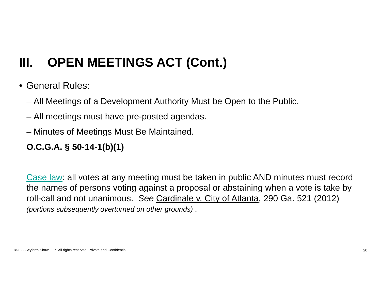- General Rules:
	- All Meetings of a Development Authority Must be Open to the Public.
	- All meetings must have pre-posted agendas.
	- Minutes of Meetings Must Be Maintained.

### **O.C.G.A. § 50-14-1(b)(1)**

Case law: all votes at any meeting must be taken in public AND minutes must record the names of persons voting against a proposal or abstaining when a vote is take by roll-call and not unanimous. *See* Cardinale v. City of Atlanta, 290 Ga. 521 (2012) *(portions subsequently overturned on other grounds)* .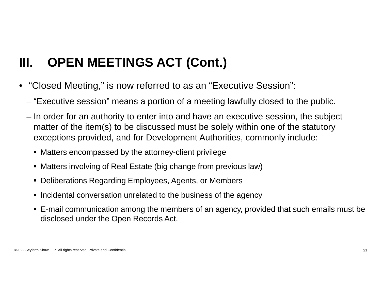- "Closed Meeting," is now referred to as an "Executive Session":
	- "Executive session" means a portion of a meeting lawfully closed to the public.
	- In order for an authority to enter into and have an executive session, the subject matter of the item(s) to be discussed must be solely within one of the statutory exceptions provided, and for Development Authorities, commonly include:
		- Matters encompassed by the attorney-client privilege
		- Matters involving of Real Estate (big change from previous law)
		- Deliberations Regarding Employees, Agents, or Members
		- Incidental conversation unrelated to the business of the agency
		- E-mail communication among the members of an agency, provided that such emails must be disclosed under the Open Records Act.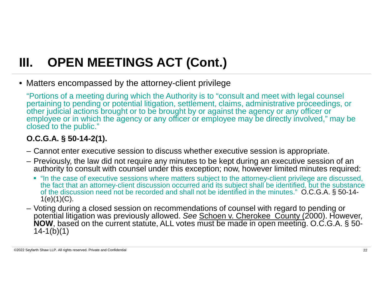• Matters encompassed by the attorney-client privilege

"Portions of a meeting during which the Authority is to "consult and meet with legal counsel pertaining to pending or potential litigation, settlement, claims, administrative proceedings, or other judicial actions brought or to be brought by or against the agency or any officer or employee or in which the agency or any officer or employee may be directly involved," may be closed to the public."

### **O.C.G.A. § 50-14-2(1).**

- Cannot enter executive session to discuss whether executive session is appropriate.
- Previously, the law did not require any minutes to be kept during an executive session of an authority to consult with counsel under this exception; now, however limited minutes required:
	- "In the case of executive sessions where matters subject to the attorney-client privilege are discussed, the fact that an attorney-client discussion occurred and its subject shall be identified, but the substance of the discussion need not be recorded and shall not be identified in the minutes." O.C.G.A. § 50-14-  $1(e)(1)(C)$ .
- Voting during a closed session on recommendations of counsel with regard to pending or potential litigation was previously allowed. *See* Schoen v. Cherokee County (2000). However, **NOW**, based on the current statute, ALL votes must be made in open meeting. O.C.G.A. § 50- 14-1(b)(1)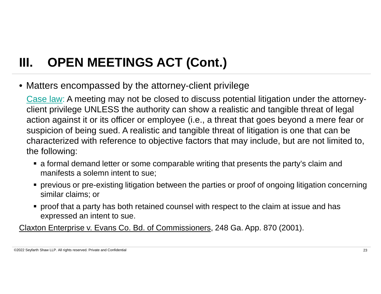• Matters encompassed by the attorney-client privilege

Case law: A meeting may not be closed to discuss potential litigation under the attorneyclient privilege UNLESS the authority can show a realistic and tangible threat of legal action against it or its officer or employee (i.e., a threat that goes beyond a mere fear or suspicion of being sued. A realistic and tangible threat of litigation is one that can be characterized with reference to objective factors that may include, but are not limited to, the following:

- a formal demand letter or some comparable writing that presents the party's claim and manifests a solemn intent to sue;
- previous or pre-existing litigation between the parties or proof of ongoing litigation concerning similar claims; or
- proof that a party has both retained counsel with respect to the claim at issue and has expressed an intent to sue.

Claxton Enterprise v. Evans Co. Bd. of Commissioners, 248 Ga. App. 870 (2001).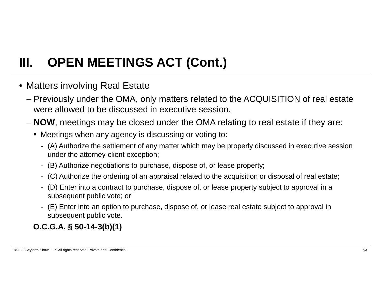- Matters involving Real Estate
	- Previously under the OMA, only matters related to the ACQUISITION of real estate were allowed to be discussed in executive session.
	- **NOW**, meetings may be closed under the OMA relating to real estate if they are:
		- Meetings when any agency is discussing or voting to:
			- (A) Authorize the settlement of any matter which may be properly discussed in executive session under the attorney-client exception;
			- (B) Authorize negotiations to purchase, dispose of, or lease property;
			- (C) Authorize the ordering of an appraisal related to the acquisition or disposal of real estate;
			- (D) Enter into a contract to purchase, dispose of, or lease property subject to approval in a subsequent public vote; or
			- (E) Enter into an option to purchase, dispose of, or lease real estate subject to approval in subsequent public vote.

### **O.C.G.A. § 50-14-3(b)(1)**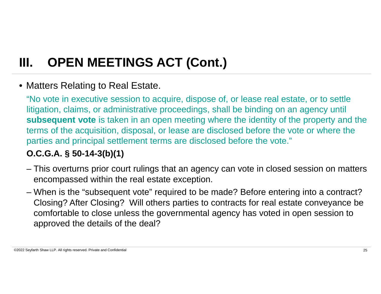### • Matters Relating to Real Estate.

"No vote in executive session to acquire, dispose of, or lease real estate, or to settle litigation, claims, or administrative proceedings, shall be binding on an agency until **subsequent vote** is taken in an open meeting where the identity of the property and the terms of the acquisition, disposal, or lease are disclosed before the vote or where the parties and principal settlement terms are disclosed before the vote."

### **O.C.G.A. § 50-14-3(b)(1)**

- This overturns prior court rulings that an agency can vote in closed session on matters encompassed within the real estate exception.
- When is the "subsequent vote" required to be made? Before entering into a contract? Closing? After Closing? Will others parties to contracts for real estate conveyance be comfortable to close unless the governmental agency has voted in open session to approved the details of the deal?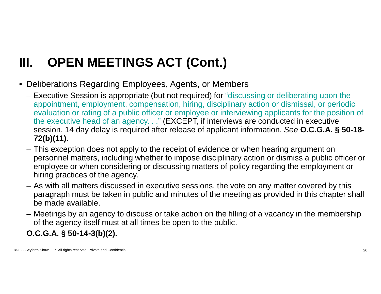- Deliberations Regarding Employees, Agents, or Members
	- Executive Session is appropriate (but not required) for "discussing or deliberating upon the appointment, employment, compensation, hiring, disciplinary action or dismissal, or periodic evaluation or rating of a public officer or employee or interviewing applicants for the position of the executive head of an agency. . ." (EXCEPT, if interviews are conducted in executive session, 14 day delay is required after release of applicant information. *See* **O.C.G.A. § 50-18- 72(b)(11)**.
	- This exception does not apply to the receipt of evidence or when hearing argument on personnel matters, including whether to impose disciplinary action or dismiss a public officer or employee or when considering or discussing matters of policy regarding the employment or hiring practices of the agency.
	- As with all matters discussed in executive sessions, the vote on any matter covered by this paragraph must be taken in public and minutes of the meeting as provided in this chapter shall be made available.
	- Meetings by an agency to discuss or take action on the filling of a vacancy in the membership of the agency itself must at all times be open to the public.

### **O.C.G.A. § 50-14-3(b)(2).**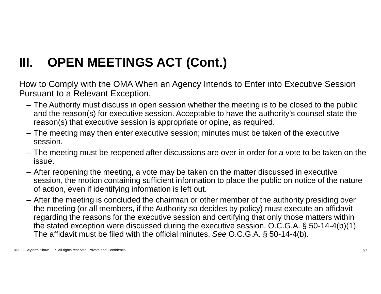How to Comply with the OMA When an Agency Intends to Enter into Executive Session Pursuant to a Relevant Exception.

- The Authority must discuss in open session whether the meeting is to be closed to the public and the reason(s) for executive session. Acceptable to have the authority's counsel state the reason(s) that executive session is appropriate or opine, as required.
- The meeting may then enter executive session; minutes must be taken of the executive session.
- The meeting must be reopened after discussions are over in order for a vote to be taken on the issue.
- After reopening the meeting, a vote may be taken on the matter discussed in executive session, the motion containing sufficient information to place the public on notice of the nature of action, even if identifying information is left out.
- After the meeting is concluded the chairman or other member of the authority presiding over the meeting (or all members, if the Authority so decides by policy) must execute an affidavit regarding the reasons for the executive session and certifying that only those matters within the stated exception were discussed during the executive session. O.C.G.A. § 50-14-4(b)(1). The affidavit must be filed with the official minutes. *See* O.C.G.A. § 50-14-4(b).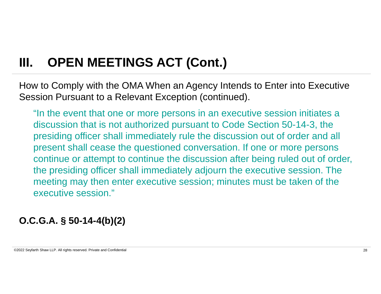How to Comply with the OMA When an Agency Intends to Enter into Executive Session Pursuant to a Relevant Exception (continued).

"In the event that one or more persons in an executive session initiates a discussion that is not authorized pursuant to Code Section 50-14-3, the presiding officer shall immediately rule the discussion out of order and all present shall cease the questioned conversation. If one or more persons continue or attempt to continue the discussion after being ruled out of order, the presiding officer shall immediately adjourn the executive session. The meeting may then enter executive session; minutes must be taken of the executive session."

**O.C.G.A. § 50-14-4(b)(2)**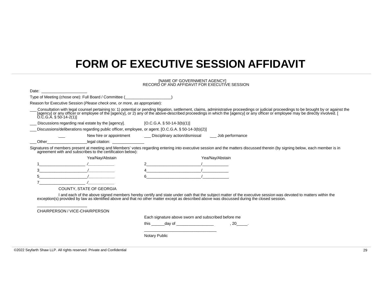### **FORM OF EXECUTIVE SESSION AFFIDAVIT**

|                                                                                                                                                                                                                                |                                                                                                    | [NAME OF GOVERNMENT AGENCY]<br>RECORD OF AND AFFIDAVIT FOR EXECUTIVE SESSION |                 |                                                                                                                                                                                                                                |
|--------------------------------------------------------------------------------------------------------------------------------------------------------------------------------------------------------------------------------|----------------------------------------------------------------------------------------------------|------------------------------------------------------------------------------|-----------------|--------------------------------------------------------------------------------------------------------------------------------------------------------------------------------------------------------------------------------|
| Date: the contract of the contract of the contract of the contract of the contract of the contract of the contract of the contract of the contract of the contract of the contract of the contract of the contract of the cont |                                                                                                    |                                                                              |                 |                                                                                                                                                                                                                                |
|                                                                                                                                                                                                                                | Type of Meeting (chose one): Full Board / Committee (                                              |                                                                              |                 |                                                                                                                                                                                                                                |
|                                                                                                                                                                                                                                | Reason for Executive Session (Please check one, or more, as appropriate):                          |                                                                              |                 |                                                                                                                                                                                                                                |
| $O.C.G.A. § 50-14-2(1)$                                                                                                                                                                                                        |                                                                                                    |                                                                              |                 | Consultation with legal counsel pertaining to: 1) potential or pending litigation, settlement, claims, administrative proceedings or judicial proceedings to be brought by or against the [agency] or any officer or employee  |
| Discussions regarding real estate by the [agency].                                                                                                                                                                             |                                                                                                    | $[O.C.G.A. § 50-14-3(b)(1)]$                                                 |                 |                                                                                                                                                                                                                                |
|                                                                                                                                                                                                                                | Discussions/deliberations regarding public officer, employee, or agent. [O.C.G.A. § 50-14-3(b)(2)] |                                                                              |                 |                                                                                                                                                                                                                                |
|                                                                                                                                                                                                                                | New hire or appointment                                                                            | ___ Disciplinary action/dismissal _____ Job performance                      |                 |                                                                                                                                                                                                                                |
| Other                                                                                                                                                                                                                          | legal citation: <u>compared by</u>                                                                 |                                                                              |                 |                                                                                                                                                                                                                                |
|                                                                                                                                                                                                                                | agreement with and subscribes to the certification below):                                         |                                                                              |                 |                                                                                                                                                                                                                                |
|                                                                                                                                                                                                                                | Yea/Nay/Abstain                                                                                    |                                                                              | Yea/Nay/Abstain |                                                                                                                                                                                                                                |
|                                                                                                                                                                                                                                |                                                                                                    |                                                                              |                 |                                                                                                                                                                                                                                |
|                                                                                                                                                                                                                                |                                                                                                    | $\overline{1}$                                                               |                 |                                                                                                                                                                                                                                |
| 5                                                                                                                                                                                                                              |                                                                                                    |                                                                              |                 |                                                                                                                                                                                                                                |
|                                                                                                                                                                                                                                |                                                                                                    |                                                                              |                 |                                                                                                                                                                                                                                |
|                                                                                                                                                                                                                                | <b>COUNTY, STATE OF GEORGIA</b>                                                                    |                                                                              |                 |                                                                                                                                                                                                                                |
|                                                                                                                                                                                                                                |                                                                                                    |                                                                              |                 | I and each of the above signed members hereby certify and state under oath that the subject matter of the executive session was devoted to matters within the exception(s) provided by law as identified above and that no oth |
|                                                                                                                                                                                                                                |                                                                                                    |                                                                              |                 |                                                                                                                                                                                                                                |
|                                                                                                                                                                                                                                | CHAIRPERSON / VICE-CHAIRPERSON                                                                     |                                                                              |                 |                                                                                                                                                                                                                                |
|                                                                                                                                                                                                                                |                                                                                                    | Each signature above sworn and subscribed before me                          |                 |                                                                                                                                                                                                                                |
|                                                                                                                                                                                                                                |                                                                                                    | this ________ day of ___________________                                     |                 | , 20                                                                                                                                                                                                                           |
|                                                                                                                                                                                                                                |                                                                                                    |                                                                              |                 |                                                                                                                                                                                                                                |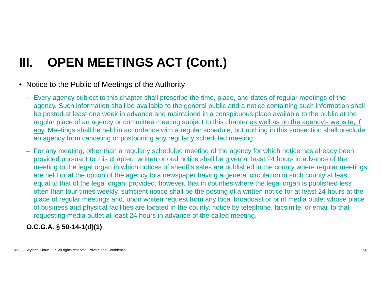### • Notice to the Public of Meetings of the Authority

- Every agency subject to this chapter shall prescribe the time, place, and dates of regular meetings of the agency. Such information shall be available to the general public and a notice containing such information shall be posted at least one week in advance and maintained in a conspicuous place available to the public at the regular place of an agency or committee meeting subject to this chapter as well as on the agency's website, if any. Meetings shall be held in accordance with a regular schedule, but nothing in this subsection shall preclude an agency from canceling or postponing any regularly scheduled meeting.
- For any meeting, other than a regularly scheduled meeting of the agency for which notice has already been provided pursuant to this chapter, written or oral notice shall be given at least 24 hours in advance of the meeting to the legal organ in which notices of sheriff's sales are published in the county where regular meetings are held or at the option of the agency to a newspaper having a general circulation in such county at least equal to that of the legal organ; provided, however, that in counties where the legal organ is published less often than four times weekly, sufficient notice shall be the posting of a written notice for at least 24 hours at the place of regular meetings and, upon written request from any local broadcast or print media outlet whose place of business and physical facilities are located in the county, notice by telephone, facsimile, or email to that requesting media outlet at least 24 hours in advance of the called meeting.

### **O.C.G.A. § 50-14-1(d)(1)**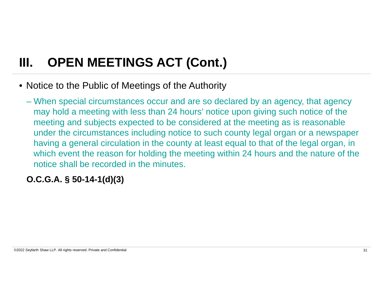- Notice to the Public of Meetings of the Authority
	- When special circumstances occur and are so declared by an agency, that agency may hold a meeting with less than 24 hours' notice upon giving such notice of the meeting and subjects expected to be considered at the meeting as is reasonable under the circumstances including notice to such county legal organ or a newspaper having a general circulation in the county at least equal to that of the legal organ, in which event the reason for holding the meeting within 24 hours and the nature of the notice shall be recorded in the minutes.

### **O.C.G.A. § 50-14-1(d)(3)**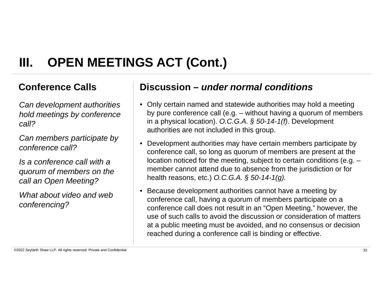*Can development authorities hold meetings by conference call?*

*Can members participate by conference call?*

*Is a conference call with a quorum of members on the call an Open Meeting?*

*What about video and web conferencing?*

### **Conference Calls Discussion –** *under normal conditions*

- Only certain named and statewide authorities may hold a meeting by pure conference call (e.g. – without having a quorum of members in a physical location). *O.C.G.A. § 50-14-1(f)*. Development authorities are not included in this group.
- Development authorities may have certain members participate by conference call, so long as quorum of members are present at the location noticed for the meeting, subject to certain conditions (e.g. – member cannot attend due to absence from the jurisdiction or for health reasons, etc.) *O.C.G.A. § 50-14-1(g).*
- Because development authorities cannot have a meeting by conference call, having a quorum of members participate on a conference call does not result in an "Open Meeting," however, the use of such calls to avoid the discussion or consideration of matters at a public meeting must be avoided, and no consensus or decision reached during a conference call is binding or effective.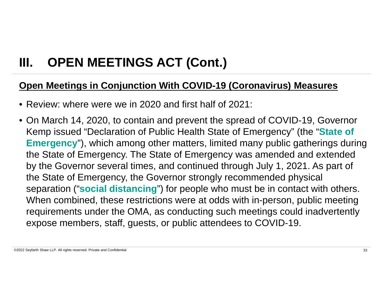### **Open Meetings in Conjunction With COVID-19 (Coronavirus) Measures**

- Review: where were we in 2020 and first half of 2021:
- On March 14, 2020, to contain and prevent the spread of COVID-19, Governor Kemp issued "Declaration of Public Health State of Emergency" (the "**State of Emergency**"), which among other matters, limited many public gatherings during the State of Emergency. The State of Emergency was amended and extended by the Governor several times, and continued through July 1, 2021. As part of the State of Emergency, the Governor strongly recommended physical separation ("**social distancing**") for people who must be in contact with others. When combined, these restrictions were at odds with in-person, public meeting requirements under the OMA, as conducting such meetings could inadvertently expose members, staff, guests, or public attendees to COVID-19.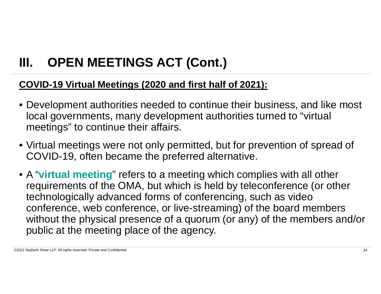### **COVID-19 Virtual Meetings (2020 and first half of 2021):**

- Development authorities needed to continue their business, and like most local governments, many development authorities turned to "virtual meetings" to continue their affairs.
- Virtual meetings were not only permitted, but for prevention of spread of COVID-19, often became the preferred alternative.
- A "**virtual meeting**" refers to a meeting which complies with all other requirements of the OMA, but which is held by teleconference (or other technologically advanced forms of conferencing, such as video conference, web conference, or live-streaming) of the board members without the physical presence of a quorum (or any) of the members and/or public at the meeting place of the agency.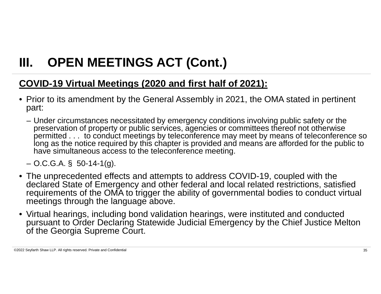### **COVID-19 Virtual Meetings (2020 and first half of 2021):**

- Prior to its amendment by the General Assembly in 2021, the OMA stated in pertinent part:
	- Under circumstances necessitated by emergency conditions involving public safety or the preservation of property or public services, agencies or committees thereof not otherwise permitted . . . to conduct meetings by teleconference may meet by means of teleconference so long as the notice required by this chapter is provided and means are afforded for the public to have simultaneous access to the teleconference meeting.

 $-$  O.C.G.A. § 50-14-1(g).

- The unprecedented effects and attempts to address COVID-19, coupled with the declared State of Emergency and other federal and local related restrictions, satisfied requirements of the OMA to trigger the ability of governmental bodies to conduct virtual meetings through the language above.
- Virtual hearings, including bond validation hearings, were instituted and conducted pursuant to Order Declaring Statewide Judicial Emergency by the Chief Justice Melton of the Georgia Supreme Court.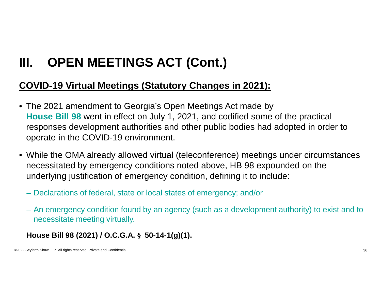### **COVID-19 Virtual Meetings (Statutory Changes in 2021):**

- The 2021 amendment to Georgia's Open Meetings Act made by **House Bill 98** went in effect on July 1, 2021, and codified some of the practical responses development authorities and other public bodies had adopted in order to operate in the COVID-19 environment.
- While the OMA already allowed virtual (teleconference) meetings under circumstances necessitated by emergency conditions noted above, HB 98 expounded on the underlying justification of emergency condition, defining it to include:
	- Declarations of federal, state or local states of emergency; and/or
	- An emergency condition found by an agency (such as a development authority) to exist and to necessitate meeting virtually.

### **House Bill 98 (2021) / O.C.G.A. § 50-14-1(g)(1).**

©2022 Seyfarth Shaw LLP. All rights reserved. Private and Confidential 36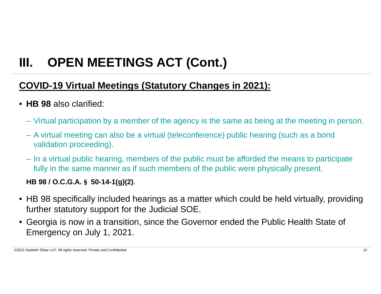### **COVID-19 Virtual Meetings (Statutory Changes in 2021):**

### • **HB 98** also clarified:

- Virtual participation by a member of the agency is the same as being at the meeting in person.
- A virtual meeting can also be a virtual (teleconference) public hearing (such as a bond validation proceeding).
- In a virtual public hearing, members of the public must be afforded the means to participate fully in the same manner as if such members of the public were physically present.

### **HB 98 / O.C.G.A. § 50-14-1(g)(2)**.

- HB 98 specifically included hearings as a matter which could be held virtually, providing further statutory support for the Judicial SOE.
- Georgia is now in a transition, since the Governor ended the Public Health State of Emergency on July 1, 2021.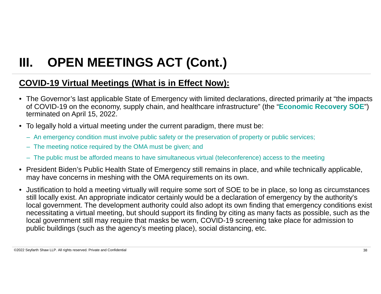### **COVID-19 Virtual Meetings (What is in Effect Now):**

- The Governor's last applicable State of Emergency with limited declarations, directed primarily at "the impacts of COVID-19 on the economy, supply chain, and healthcare infrastructure" (the "**Economic Recovery SOE**") terminated on April 15, 2022.
- To legally hold a virtual meeting under the current paradigm, there must be:
	- An emergency condition must involve public safety or the preservation of property or public services;
	- The meeting notice required by the OMA must be given; and
	- The public must be afforded means to have simultaneous virtual (teleconference) access to the meeting
- President Biden's Public Health State of Emergency still remains in place, and while technically applicable, may have concerns in meshing with the OMA requirements on its own.
- Justification to hold a meeting virtually will require some sort of SOE to be in place, so long as circumstances still locally exist. An appropriate indicator certainly would be a declaration of emergency by the authority's local government. The development authority could also adopt its own finding that emergency conditions exist necessitating a virtual meeting, but should support its finding by citing as many facts as possible, such as the local government still may require that masks be worn, COVID-19 screening take place for admission to public buildings (such as the agency's meeting place), social distancing, etc.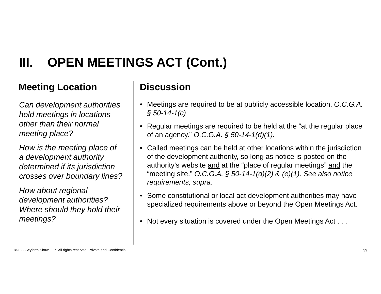### **Meeting Location**  Discussion

*Can development authorities hold meetings in locations other than their normal meeting place?*

*How is the meeting place of a development authority determined if its jurisdiction crosses over boundary lines?*

*How about regional development authorities? Where should they hold their meetings?*

- Meetings are required to be at publicly accessible location. *O.C.G.A. § 50-14-1(c)*
- Regular meetings are required to be held at the "at the regular place of an agency." *O.C.G.A. § 50-14-1(d)(1).*
- Called meetings can be held at other locations within the jurisdiction of the development authority, so long as notice is posted on the authority's website and at the "place of regular meetings" and the "meeting site." *O.C.G.A. § 50-14-1(d)(2) & (e)(1). See also notice requirements, supra.*
- Some constitutional or local act development authorities may have specialized requirements above or beyond the Open Meetings Act.
- Not every situation is covered under the Open Meetings Act . . .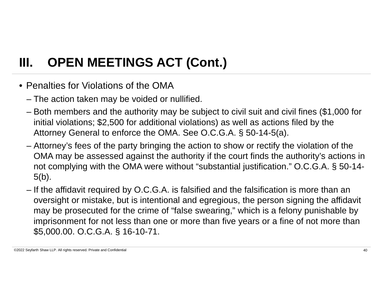- Penalties for Violations of the OMA
	- The action taken may be voided or nullified.
	- Both members and the authority may be subject to civil suit and civil fines (\$1,000 for initial violations; \$2,500 for additional violations) as well as actions filed by the Attorney General to enforce the OMA. See O.C.G.A. § 50-14-5(a).
	- Attorney's fees of the party bringing the action to show or rectify the violation of the OMA may be assessed against the authority if the court finds the authority's actions in not complying with the OMA were without "substantial justification." O.C.G.A. § 50-14- 5(b).
	- If the affidavit required by O.C.G.A. is falsified and the falsification is more than an oversight or mistake, but is intentional and egregious, the person signing the affidavit may be prosecuted for the crime of "false swearing," which is a felony punishable by imprisonment for not less than one or more than five years or a fine of not more than \$5,000.00. O.C.G.A. § 16-10-71.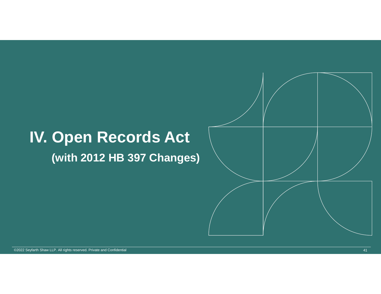# **IV. Open Records Act**

### **(with 2012 HB 397 Changes)**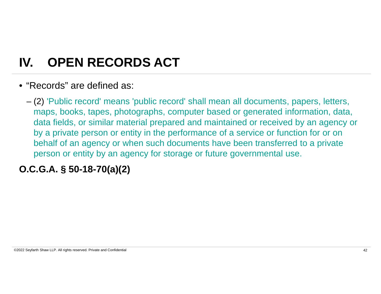### **IV. OPEN RECORDS ACT**

• "Records" are defined as:

– (2) 'Public record' means 'public record' shall mean all documents, papers, letters, maps, books, tapes, photographs, computer based or generated information, data, data fields, or similar material prepared and maintained or received by an agency or by a private person or entity in the performance of a service or function for or on behalf of an agency or when such documents have been transferred to a private person or entity by an agency for storage or future governmental use.

### **O.C.G.A. § 50-18-70(a)(2)**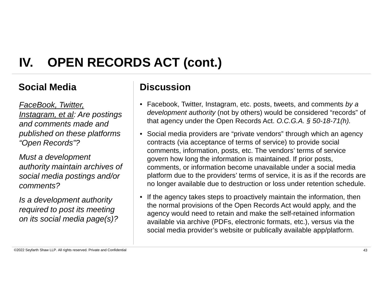### **Social Media Discussion**

*FaceBook, Twitter, Instagram, et al: Are postings and comments made and published on these platforms "Open Records"?*

*Must a development authority maintain archives of social media postings and/or comments?*

*Is a development authority required to post its meeting on its social media page(s)?*

- Facebook, Twitter, Instagram, etc. posts, tweets, and comments *by a development authority* (not by others) would be considered "records" of that agency under the Open Records Act. *O.C.G.A. § 50-18-71(h).*
- Social media providers are "private vendors" through which an agency contracts (via acceptance of terms of service) to provide social comments, information, posts, etc. The vendors' terms of service govern how long the information is maintained. If prior posts, comments, or information become unavailable under a social media platform due to the providers' terms of service, it is as if the records are no longer available due to destruction or loss under retention schedule.
- If the agency takes steps to proactively maintain the information, then the normal provisions of the Open Records Act would apply, and the agency would need to retain and make the self-retained information available via archive (PDFs, electronic formats, etc.), versus via the social media provider's website or publically available app/platform.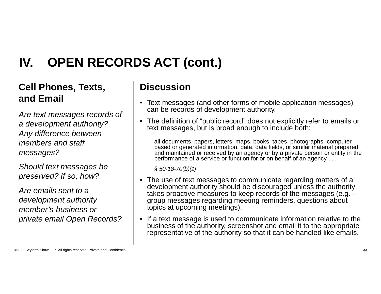### **Cell Phones, Texts, Cell Phones, Texts, CE and Email**

*Are text messages records of a development authority? Any difference between members and staff messages?*

*Should text messages be preserved? If so, how?*

*Are emails sent to a development authority member's business or private email Open Records?*

- Text messages (and other forms of mobile application messages) can be records of development authority.
- The definition of "public record" does not explicitly refer to emails or text messages, but is broad enough to include both:
	- all documents, papers, letters, maps, books, tapes, photographs, computer based or generated information, data, data fields, or similar material prepared and maintained or received by an agency or by a private person or entity in the performance of a service or function for or on behalf of an agency . . .

*§ 50-18-70(b)(2)*

- The use of text messages to communicate regarding matters of a development authority should be discouraged unless the authority takes proactive measures to keep records of the messages (e.g. – group messages regarding meeting reminders, questions about topics at upcoming meetings).
- If a text message is used to communicate information relative to the business of the authority, screenshot and email it to the appropriate representative of the authority so that it can be handled like emails.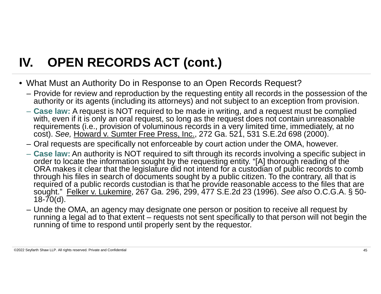- What Must an Authority Do in Response to an Open Records Request?
	- Provide for review and reproduction by the requesting entity all records in the possession of the authority or its agents (including its attorneys) and not subject to an exception from provision.
	- **Case law:** A request is NOT required to be made in writing, and a request must be complied with, even if it is only an oral request, so long as the request does not contain unreasonable requirements (i.e., provision of voluminous records in a very limited time, immediately, at no cost). *See,* Howard v. Sumter Free Press, Inc., 272 Ga. 521, 531 S.E.2d 698 (2000).
	- Oral requests are specifically not enforceable by court action under the OMA, however.
	- **Case law:** An authority is NOT required to sift through its records involving a specific subject in order to locate the information sought by the requesting entity. "[A] thorough reading of the ORA makes it clear that the legislature did not intend for a custodian of public records to comb through his files in search of documents sought by a public citizen. To the contrary, all that is required of a public records custodian is that he provide reasonable access to the files that are sought." Felker v. Lukemire, 267 Ga. 296, 299, 477 S.E.2d 23 (1996). *See also* O.C.G.A. § 50-  $18 - 70(d)$ .
	- Unde the OMA, an agency may designate one person or position to receive all request by running a legal ad to that extent – requests not sent specifically to that person will not begin the running of time to respond until properly sent by the requestor.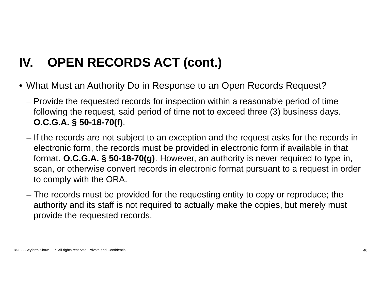- What Must an Authority Do in Response to an Open Records Request?
	- Provide the requested records for inspection within a reasonable period of time following the request, said period of time not to exceed three (3) business days. **O.C.G.A. § 50-18-70(f)**.
	- If the records are not subject to an exception and the request asks for the records in electronic form, the records must be provided in electronic form if available in that format. **O.C.G.A. § 50-18-70(g)**. However, an authority is never required to type in, scan, or otherwise convert records in electronic format pursuant to a request in order to comply with the ORA.
	- The records must be provided for the requesting entity to copy or reproduce; the authority and its staff is not required to actually make the copies, but merely must provide the requested records.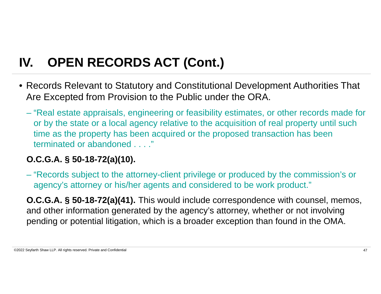- Records Relevant to Statutory and Constitutional Development Authorities That Are Excepted from Provision to the Public under the ORA.
	- "Real estate appraisals, engineering or feasibility estimates, or other records made for or by the state or a local agency relative to the acquisition of real property until such time as the property has been acquired or the proposed transaction has been terminated or abandoned . . . ."

### **O.C.G.A. § 50-18-72(a)(10).**

– "Records subject to the attorney-client privilege or produced by the commission's or agency's attorney or his/her agents and considered to be work product."

**O.C.G.A. § 50-18-72(a)(41).** This would include correspondence with counsel, memos, and other information generated by the agency's attorney, whether or not involving pending or potential litigation, which is a broader exception than found in the OMA.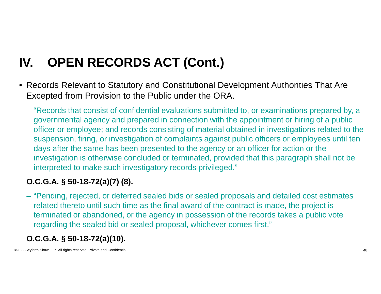- Records Relevant to Statutory and Constitutional Development Authorities That Are Excepted from Provision to the Public under the ORA.
	- "Records that consist of confidential evaluations submitted to, or examinations prepared by, a governmental agency and prepared in connection with the appointment or hiring of a public officer or employee; and records consisting of material obtained in investigations related to the suspension, firing, or investigation of complaints against public officers or employees until ten days after the same has been presented to the agency or an officer for action or the investigation is otherwise concluded or terminated, provided that this paragraph shall not be interpreted to make such investigatory records privileged."

### **O.C.G.A. § 50-18-72(a)(7) (8).**

– "Pending, rejected, or deferred sealed bids or sealed proposals and detailed cost estimates related thereto until such time as the final award of the contract is made, the project is terminated or abandoned, or the agency in possession of the records takes a public vote regarding the sealed bid or sealed proposal, whichever comes first."

### **O.C.G.A. § 50-18-72(a)(10).**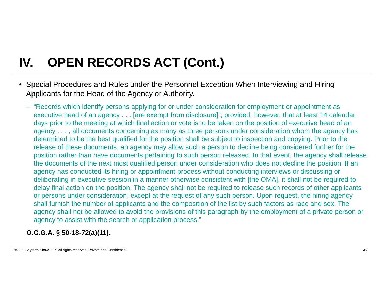- Special Procedures and Rules under the Personnel Exception When Interviewing and Hiring Applicants for the Head of the Agency or Authority.
	- "Records which identify persons applying for or under consideration for employment or appointment as executive head of an agency . . . [are exempt from disclosure]"; provided, however, that at least 14 calendar days prior to the meeting at which final action or vote is to be taken on the position of executive head of an agency . . . , all documents concerning as many as three persons under consideration whom the agency has determined to be the best qualified for the position shall be subject to inspection and copying. Prior to the release of these documents, an agency may allow such a person to decline being considered further for the position rather than have documents pertaining to such person released. In that event, the agency shall release the documents of the next most qualified person under consideration who does not decline the position. If an agency has conducted its hiring or appointment process without conducting interviews or discussing or deliberating in executive session in a manner otherwise consistent with [the OMA], it shall not be required to delay final action on the position. The agency shall not be required to release such records of other applicants or persons under consideration, except at the request of any such person. Upon request, the hiring agency shall furnish the number of applicants and the composition of the list by such factors as race and sex. The agency shall not be allowed to avoid the provisions of this paragraph by the employment of a private person or agency to assist with the search or application process."

### **O.C.G.A. § 50-18-72(a)(11).**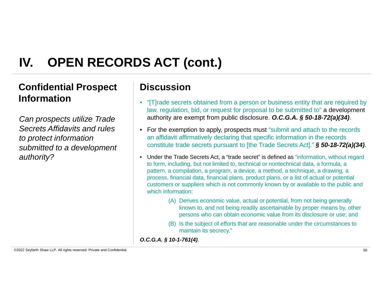### **Confidential Prospect Discussion Information**

*Can prospects utilize Trade Secrets Affidavits and rules to protect information submitted to a development authority?*

- "[T]rade secrets obtained from a person or business entity that are required by law, regulation, bid, or request for proposal to be submitted to" a development authority are exempt from public disclosure. *O.C.G.A. § 50-18-72(a)(34)*.
- For the exemption to apply, prospects must "submit and attach to the records an affidavit affirmatively declaring that specific information in the records constitute trade secrets pursuant to [the Trade Secrets Act]." *§ 50-18-72(a)(34)*.
- Under the Trade Secrets Act, a "trade secret" is defined as "information, without regard to form, including, but not limited to, technical or nontechnical data, a formula, a pattern, a compilation, a program, a device, a method, a technique, a drawing, a process, financial data, financial plans, product plans, or a list of actual or potential customers or suppliers which is not commonly known by or available to the public and which information:
	- (A) Derives economic value, actual or potential, from not being generally known to, and not being readily ascertainable by proper means by, other persons who can obtain economic value from its disclosure or use; and
	- (B) Is the subject of efforts that are reasonable under the circumstances to maintain its secrecy."

*O.C.G.A. § 10-1-761(4)*.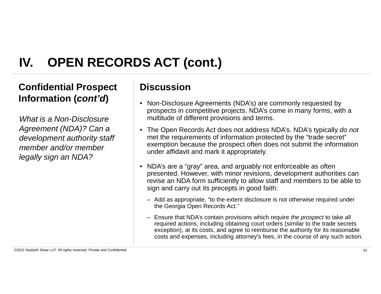### **Confidential Prospect Discussion Information (***cont'd***)**

*What is a Non-Disclosure Agreement (NDA)? Can a development authority staff member and/or member legally sign an NDA?*

- Non-Disclosure Agreements (NDA's) are commonly requested by prospects in competitive projects. NDA's come in many forms, with a multitude of different provisions and terms.
- The Open Records Act does not address NDA's. NDA's typically *do not* met the requirements of information protected by the "trade secret" exemption because the prospect often does not submit the information under affidavit and mark it appropriately.
- NDA's are a "gray" area, and arguably not enforceable as often presented. However, with minor revisions, development authorities can revise an NDA form sufficiently to allow staff and members to be able to sign and carry out its precepts in good faith:
	- Add as appropriate, "to the extent disclosure is not otherwise required under the Georgia Open Records Act."
	- Ensure that NDA's contain provisions which require *the prospect* to take all required actions, including obtaining court orders (similar to the trade secrets exception), at its costs, and agree to reimburse the authority for its reasonable costs and expenses, including attorney's fees, in the course of any such action.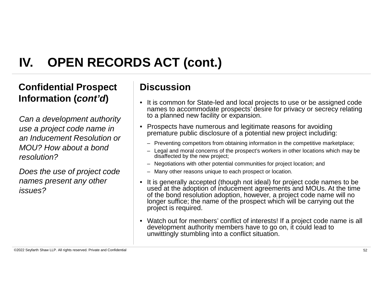### **Confidential Prospect Discussion Information (***cont'd***)**

*Can a development authority use a project code name in an Inducement Resolution or MOU? How about a bond resolution?*

*Does the use of project code names present any other issues?*

- It is common for State-led and local projects to use or be assigned code names to accommodate prospects' desire for privacy or secrecy relating to a planned new facility or expansion.
- Prospects have numerous and legitimate reasons for avoiding premature public disclosure of a potential new project including:
	- Preventing competitors from obtaining information in the competitive marketplace;
	- Legal and moral concerns of the prospect's workers in other locations which may be disaffected by the new project;
	- Negotiations with other potential communities for project location; and
	- Many other reasons unique to each prospect or location.
- It is generally accepted (though not ideal) for project code names to be used at the adoption of inducement agreements and MOUs. At the time of the bond resolution adoption, however, a project code name will no longer suffice; the name of the prospect which will be carrying out the project is required.
- Watch out for members' conflict of interests! If a project code name is all development authority members have to go on, it could lead to unwittingly stumbling into a conflict situation.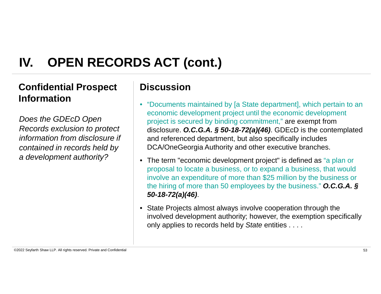### **Confidential Prospect Discussion Information**

*Does the GDEcD Open Records exclusion to protect information from disclosure if contained in records held by a development authority?*

- "Documents maintained by [a State department], which pertain to an economic development project until the economic development project is secured by binding commitment," are exempt from disclosure. *O.C.G.A. § 50-18-72(a)(46)*. GDEcD is the contemplated and referenced department, but also specifically includes DCA/OneGeorgia Authority and other executive branches.
- The term "economic development project" is defined as "a plan or proposal to locate a business, or to expand a business, that would involve an expenditure of more than \$25 million by the business or the hiring of more than 50 employees by the business." *O.C.G.A. § 50-18-72(a)(46)*.
- State Projects almost always involve cooperation through the involved development authority; however, the exemption specifically only applies to records held by *State* entities . . . .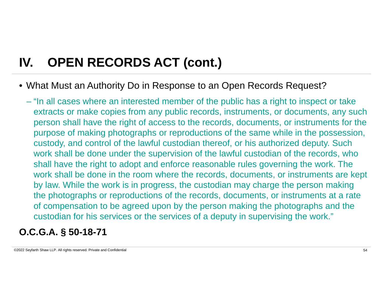• What Must an Authority Do in Response to an Open Records Request?

– "In all cases where an interested member of the public has a right to inspect or take extracts or make copies from any public records, instruments, or documents, any such person shall have the right of access to the records, documents, or instruments for the purpose of making photographs or reproductions of the same while in the possession, custody, and control of the lawful custodian thereof, or his authorized deputy. Such work shall be done under the supervision of the lawful custodian of the records, who shall have the right to adopt and enforce reasonable rules governing the work. The work shall be done in the room where the records, documents, or instruments are kept by law. While the work is in progress, the custodian may charge the person making the photographs or reproductions of the records, documents, or instruments at a rate of compensation to be agreed upon by the person making the photographs and the custodian for his services or the services of a deputy in supervising the work."

### **O.C.G.A. § 50-18-71**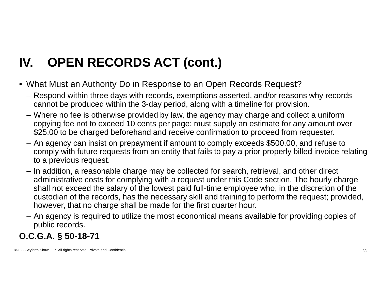- What Must an Authority Do in Response to an Open Records Request?
	- Respond within three days with records, exemptions asserted, and/or reasons why records cannot be produced within the 3-day period, along with a timeline for provision.
	- Where no fee is otherwise provided by law, the agency may charge and collect a uniform copying fee not to exceed 10 cents per page; must supply an estimate for any amount over \$25.00 to be charged beforehand and receive confirmation to proceed from requester.
	- An agency can insist on prepayment if amount to comply exceeds \$500.00, and refuse to comply with future requests from an entity that fails to pay a prior properly billed invoice relating to a previous request.
	- In addition, a reasonable charge may be collected for search, retrieval, and other direct administrative costs for complying with a request under this Code section. The hourly charge shall not exceed the salary of the lowest paid full-time employee who, in the discretion of the custodian of the records, has the necessary skill and training to perform the request; provided, however, that no charge shall be made for the first quarter hour.
	- An agency is required to utilize the most economical means available for providing copies of public records.

### **O.C.G.A. § 50-18-71**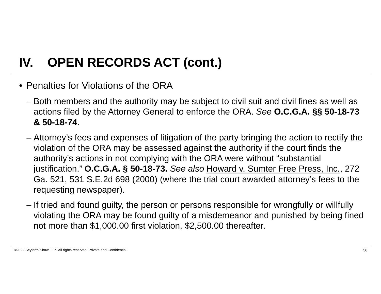- Penalties for Violations of the ORA
	- Both members and the authority may be subject to civil suit and civil fines as well as actions filed by the Attorney General to enforce the ORA. *See* **O.C.G.A. §§ 50-18-73 & 50-18-74**.
	- Attorney's fees and expenses of litigation of the party bringing the action to rectify the violation of the ORA may be assessed against the authority if the court finds the authority's actions in not complying with the ORA were without "substantial justification." **O.C.G.A. § 50-18-73.** *See also* Howard v. Sumter Free Press, Inc., 272 Ga. 521, 531 S.E.2d 698 (2000) (where the trial court awarded attorney's fees to the requesting newspaper).
	- If tried and found guilty, the person or persons responsible for wrongfully or willfully violating the ORA may be found guilty of a misdemeanor and punished by being fined not more than \$1,000.00 first violation, \$2,500.00 thereafter.